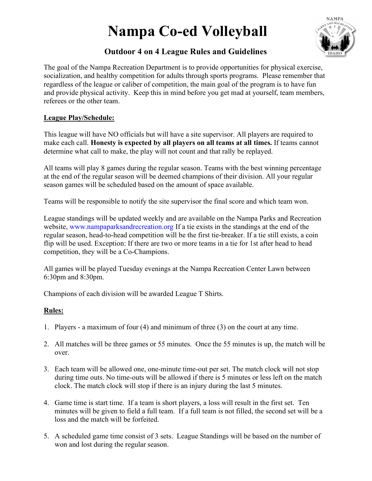# Nampa Co-ed Volleyball



## Outdoor 4 on 4 League Rules and Guidelines

The goal of the Nampa Recreation Department is to provide opportunities for physical exercise, socialization, and healthy competition for adults through sports programs. Please remember that regardless of the league or caliber of competition, the main goal of the program is to have fun and provide physical activity. Keep this in mind before you get mad at yourself, team members, referees or the other team.

### League Play/Schedule:

This league will have NO officials but will have a site supervisor. All players are required to make each call. Honesty is expected by all players on all teams at all times. If teams cannot determine what call to make, the play will not count and that rally be replayed.

All teams will play 8 games during the regular season. Teams with the best winning percentage at the end of the regular season will be deemed champions of their division. All your regular season games will be scheduled based on the amount of space available.

Teams will be responsible to notify the site supervisor the final score and which team won.

League standings will be updated weekly and are available on the Nampa Parks and Recreation website, www.nampaparksandrecreation.org If a tie exists in the standings at the end of the regular season, head-to-head competition will be the first tie-breaker. If a tie still exists, a coin flip will be used. Exception: If there are two or more teams in a tie for 1st after head to head competition, they will be a Co-Champions.

All games will be played Tuesday evenings at the Nampa Recreation Center Lawn between 6:30pm and 8:30pm.

Champions of each division will be awarded League T Shirts.

## Rules:

- 1. Players a maximum of four (4) and minimum of three (3) on the court at any time.
- 2. All matches will be three games or 55 minutes. Once the 55 minutes is up, the match will be over.
- 3. Each team will be allowed one, one-minute time-out per set. The match clock will not stop during time outs. No time-outs will be allowed if there is 5 minutes or less left on the match clock. The match clock will stop if there is an injury during the last 5 minutes.
- 4. Game time is start time. If a team is short players, a loss will result in the first set. Ten minutes will be given to field a full team. If a full team is not filled, the second set will be a loss and the match will be forfeited.
- 5. A scheduled game time consist of 3 sets. League Standings will be based on the number of won and lost during the regular season.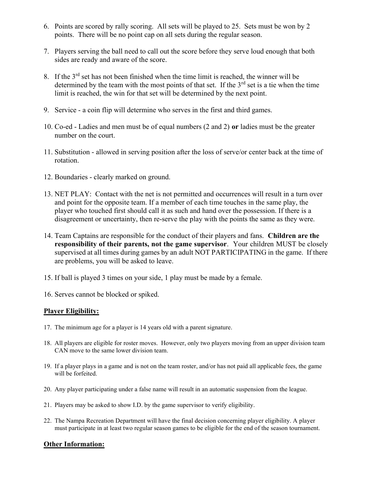- 6. Points are scored by rally scoring. All sets will be played to 25. Sets must be won by 2 points. There will be no point cap on all sets during the regular season.
- 7. Players serving the ball need to call out the score before they serve loud enough that both sides are ready and aware of the score.
- 8. If the  $3<sup>rd</sup>$  set has not been finished when the time limit is reached, the winner will be determined by the team with the most points of that set. If the  $3<sup>rd</sup>$  set is a tie when the time limit is reached, the win for that set will be determined by the next point.
- 9. Service a coin flip will determine who serves in the first and third games.
- 10. Co-ed Ladies and men must be of equal numbers (2 and 2) or ladies must be the greater number on the court.
- 11. Substitution allowed in serving position after the loss of serve/or center back at the time of rotation.
- 12. Boundaries clearly marked on ground.
- 13. NET PLAY: Contact with the net is not permitted and occurrences will result in a turn over and point for the opposite team. If a member of each time touches in the same play, the player who touched first should call it as such and hand over the possession. If there is a disagreement or uncertainty, then re-serve the play with the points the same as they were.
- 14. Team Captains are responsible for the conduct of their players and fans. Children are the responsibility of their parents, not the game supervisor. Your children MUST be closely supervised at all times during games by an adult NOT PARTICIPATING in the game. If there are problems, you will be asked to leave.
- 15. If ball is played 3 times on your side, 1 play must be made by a female.
- 16. Serves cannot be blocked or spiked.

#### Player Eligibility:

- 17. The minimum age for a player is 14 years old with a parent signature.
- 18. All players are eligible for roster moves. However, only two players moving from an upper division team CAN move to the same lower division team.
- 19. If a player plays in a game and is not on the team roster, and/or has not paid all applicable fees, the game will be forfeited.
- 20. Any player participating under a false name will result in an automatic suspension from the league.
- 21. Players may be asked to show I.D. by the game supervisor to verify eligibility.
- 22. The Nampa Recreation Department will have the final decision concerning player eligibility. A player must participate in at least two regular season games to be eligible for the end of the season tournament.

#### Other Information: